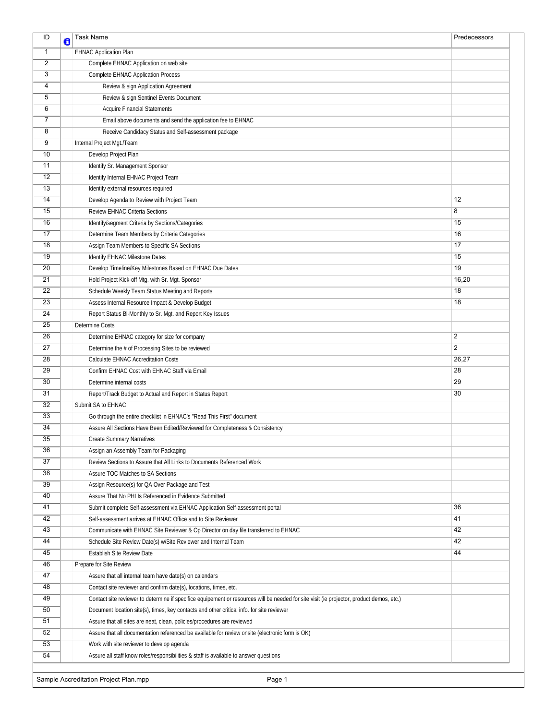| ID                                              | đ | <b>Task Name</b>                                                                                                                          | Predecessors   |  |
|-------------------------------------------------|---|-------------------------------------------------------------------------------------------------------------------------------------------|----------------|--|
| $\mathbf{1}$                                    |   | <b>EHNAC Application Plan</b>                                                                                                             |                |  |
| 2                                               |   | Complete EHNAC Application on web site                                                                                                    |                |  |
| 3                                               |   | <b>Complete EHNAC Application Process</b>                                                                                                 |                |  |
| $\overline{4}$                                  |   | Review & sign Application Agreement                                                                                                       |                |  |
| $\overline{5}$                                  |   | Review & sign Sentinel Events Document                                                                                                    |                |  |
| $\overline{6}$                                  |   | <b>Acquire Financial Statements</b>                                                                                                       |                |  |
| $\overline{7}$                                  |   | Email above documents and send the application fee to EHNAC                                                                               |                |  |
| $\overline{8}$                                  |   | Receive Candidacy Status and Self-assessment package                                                                                      |                |  |
| 9                                               |   | Internal Project Mgt./Team                                                                                                                |                |  |
| $\overline{10}$                                 |   | Develop Project Plan                                                                                                                      |                |  |
| 11                                              |   | Identify Sr. Management Sponsor                                                                                                           |                |  |
| 12                                              |   | Identify Internal EHNAC Project Team                                                                                                      |                |  |
| 13                                              |   | Identify external resources required                                                                                                      |                |  |
| 14                                              |   | Develop Agenda to Review with Project Team                                                                                                | 12             |  |
| 15                                              |   | Review EHNAC Criteria Sections                                                                                                            | 8              |  |
| 16                                              |   | Identify/segment Criteria by Sections/Categories                                                                                          | 15             |  |
| 17                                              |   | Determine Team Members by Criteria Categories                                                                                             | 16             |  |
| $\overline{18}$                                 |   | Assign Team Members to Specific SA Sections                                                                                               | 17             |  |
| 19                                              |   | Identify EHNAC Milestone Dates                                                                                                            | 15             |  |
| 20                                              |   | Develop Timeline/Key Milestones Based on EHNAC Due Dates                                                                                  | 19             |  |
| 21                                              |   | Hold Project Kick-off Mtg. with Sr. Mgt. Sponsor                                                                                          | 16,20          |  |
| $\overline{22}$                                 |   | Schedule Weekly Team Status Meeting and Reports                                                                                           | 18             |  |
| 23                                              |   | Assess Internal Resource Impact & Develop Budget                                                                                          | 18             |  |
| 24                                              |   | Report Status Bi-Monthly to Sr. Mgt. and Report Key Issues                                                                                |                |  |
| 25                                              |   | Determine Costs                                                                                                                           |                |  |
| 26                                              |   | Determine EHNAC category for size for company                                                                                             | 2              |  |
| $\overline{27}$                                 |   | Determine the # of Processing Sites to be reviewed                                                                                        | $\overline{c}$ |  |
| 28                                              |   | Calculate EHNAC Accreditation Costs                                                                                                       | 26,27          |  |
| 29                                              |   | Confirm EHNAC Cost with EHNAC Staff via Email                                                                                             | 28             |  |
| 30                                              |   | Determine internal costs                                                                                                                  | 29             |  |
| 31                                              |   | Report/Track Budget to Actual and Report in Status Report                                                                                 | 30             |  |
| $\overline{32}$                                 |   | Submit SA to EHNAC                                                                                                                        |                |  |
| $\overline{33}$                                 |   | Go through the entire checklist in EHNAC's "Read This First" document                                                                     |                |  |
| 34                                              |   | Assure All Sections Have Been Edited/Reviewed for Completeness & Consistency                                                              |                |  |
| $\overline{35}$                                 |   | <b>Create Summary Narratives</b>                                                                                                          |                |  |
| 36                                              |   | Assign an Assembly Team for Packaging                                                                                                     |                |  |
| 37                                              |   | Review Sections to Assure that All Links to Documents Referenced Work                                                                     |                |  |
| 38                                              |   | Assure TOC Matches to SA Sections                                                                                                         |                |  |
| 39                                              |   | Assign Resource(s) for QA Over Package and Test                                                                                           |                |  |
| 40                                              |   | Assure That No PHI Is Referenced in Evidence Submitted                                                                                    |                |  |
| 41                                              |   | Submit complete Self-assessment via EHNAC Application Self-assessment portal                                                              | 36             |  |
| 42                                              |   | Self-assessment arrives at EHNAC Office and to Site Reviewer                                                                              | 41             |  |
| 43                                              |   | Communicate with EHNAC Site Reviewer & Op Director on day file transferred to EHNAC                                                       | 42             |  |
| 44                                              |   | Schedule Site Review Date(s) w/Site Reviewer and Internal Team                                                                            | 42             |  |
| 45                                              |   | Establish Site Review Date                                                                                                                | 44             |  |
| 46                                              |   | Prepare for Site Review                                                                                                                   |                |  |
| 47                                              |   | Assure that all internal team have date(s) on calendars                                                                                   |                |  |
| 48                                              |   | Contact site reviewer and confirm date(s), locations, times, etc.                                                                         |                |  |
| 49                                              |   | Contact site reviewer to determine if specifice equipement or resources will be needed for site visit (ie projector, product demos, etc.) |                |  |
| 50                                              |   | Document location site(s), times, key contacts and other critical info. for site reviewer                                                 |                |  |
| 51                                              |   | Assure that all sites are neat, clean, policies/procedures are reviewed                                                                   |                |  |
| 52                                              |   | Assure that all documentation referenced be available for review onsite (electronic form is OK)                                           |                |  |
| 53                                              |   | Work with site reviewer to develop agenda                                                                                                 |                |  |
| 54                                              |   | Assure all staff know roles/responsibilities & staff is available to answer questions                                                     |                |  |
| Sample Accreditation Project Plan.mpp<br>Page 1 |   |                                                                                                                                           |                |  |
|                                                 |   |                                                                                                                                           |                |  |